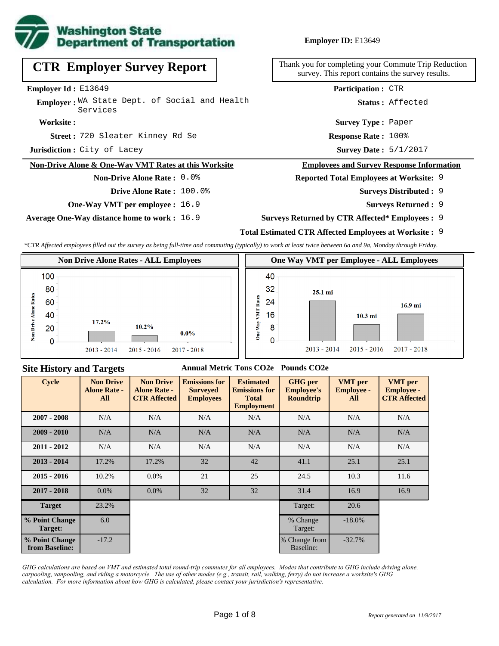

### **Employer ID:** E13649

**CTR Employer Survey Report**

**Employer Id :** E13649

Employer: WA State Dept. of Social and Health Services

#### **Worksite :**

720 Sleater Kinney Rd Se **Response Rate : Street :**

**Jurisdiction :** City of Lacey

#### **Non-Drive Alone & One-Way VMT Rates at this Worksite**

### **Non-Drive Alone Rate :** 0.0%

**Drive Alone Rate :** 100.0%

**One-Way VMT per employee :** 16.9

**Average One-Way distance home to work :** 16.9

Thank you for completing your Commute Trip Reduction survey. This report contains the survey results.

**Participation :** CTR

**Status :** Affected

**Survey Type :** Paper

Response Rate: 100%

Survey Date:  $5/1/2017$ 

#### **Employees and Survey Response Information**

#### **Reported Total Employees at Worksite:** 9

- 9 **Surveys Distributed :**
	- **Surveys Returned :** 9
- **Surveys Returned by CTR Affected\* Employees :** 9
- **Total Estimated CTR Affected Employees at Worksite :** 9

*\*CTR Affected employees filled out the survey as being full-time and commuting (typically) to work at least twice between 6a and 9a, Monday through Friday.*



### **Site History and Targets**

### **Annual Metric Tons CO2e Pounds CO2e**

| <b>Cycle</b>                     | <b>Non Drive</b><br><b>Alone Rate -</b><br>All | <b>Non Drive</b><br><b>Alone Rate -</b><br><b>CTR Affected</b> | <b>Emissions for</b><br><b>Surveyed</b><br><b>Employees</b> | <b>Estimated</b><br><b>Emissions for</b><br><b>Total</b><br><b>Employment</b> | <b>GHG</b> per<br><b>Employee's</b><br><b>Roundtrip</b> | <b>VMT</b> per<br><b>Employee -</b><br>All | <b>VMT</b> per<br><b>Employee -</b><br><b>CTR Affected</b> |
|----------------------------------|------------------------------------------------|----------------------------------------------------------------|-------------------------------------------------------------|-------------------------------------------------------------------------------|---------------------------------------------------------|--------------------------------------------|------------------------------------------------------------|
| $2007 - 2008$                    | N/A                                            | N/A                                                            | N/A                                                         | N/A                                                                           | N/A                                                     | N/A                                        | N/A                                                        |
| $2009 - 2010$                    | N/A                                            | N/A                                                            | N/A                                                         | N/A                                                                           | N/A                                                     | N/A                                        | N/A                                                        |
| $2011 - 2012$                    | N/A                                            | N/A                                                            | N/A                                                         | N/A                                                                           | N/A                                                     | N/A                                        | N/A                                                        |
| $2013 - 2014$                    | 17.2%                                          | 17.2%                                                          | 32                                                          | 42                                                                            | 41.1                                                    | 25.1                                       | 25.1                                                       |
| $2015 - 2016$                    | 10.2%                                          | 0.0%                                                           | 21                                                          | 25                                                                            | 24.5                                                    | 10.3                                       | 11.6                                                       |
| $2017 - 2018$                    | $0.0\%$                                        | $0.0\%$                                                        | 32                                                          | 32                                                                            | 31.4                                                    | 16.9                                       | 16.9                                                       |
| <b>Target</b>                    | 23.2%                                          |                                                                |                                                             |                                                                               | Target:                                                 | 20.6                                       |                                                            |
| % Point Change<br>Target:        | 6.0                                            |                                                                |                                                             |                                                                               | % Change<br>Target:                                     | $-18.0%$                                   |                                                            |
| % Point Change<br>from Baseline: | $-17.2$                                        |                                                                |                                                             |                                                                               | % Change from<br>Baseline:                              | $-32.7%$                                   |                                                            |

*GHG calculations are based on VMT and estimated total round-trip commutes for all employees. Modes that contribute to GHG include driving alone, carpooling, vanpooling, and riding a motorcycle. The use of other modes (e.g., transit, rail, walking, ferry) do not increase a worksite's GHG calculation. For more information about how GHG is calculated, please contact your jurisdiction's representative.*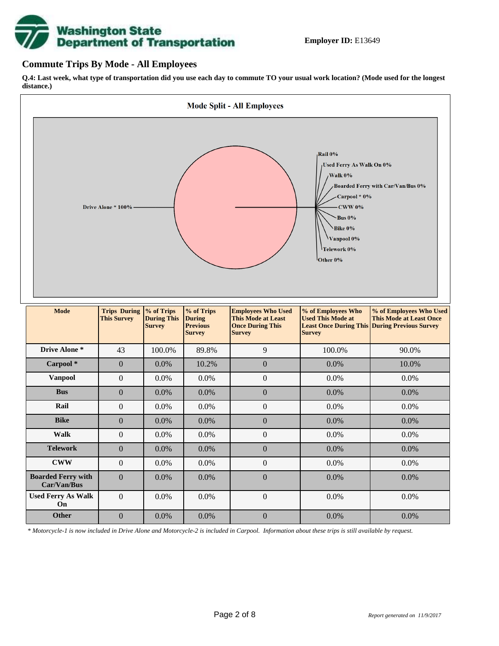

## **Commute Trips By Mode - All Employees**

**Q.4: Last week, what type of transportation did you use each day to commute TO your usual work location? (Mode used for the longest distance.)**



*\* Motorcycle-1 is now included in Drive Alone and Motorcycle-2 is included in Carpool. Information about these trips is still available by request.*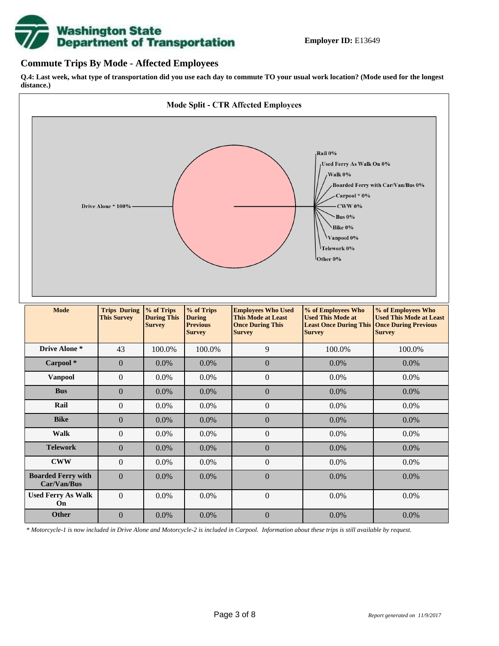

## **Commute Trips By Mode - Affected Employees**

**Q.4: Last week, what type of transportation did you use each day to commute TO your usual work location? (Mode used for the longest distance.)**



*\* Motorcycle-1 is now included in Drive Alone and Motorcycle-2 is included in Carpool. Information about these trips is still available by request.*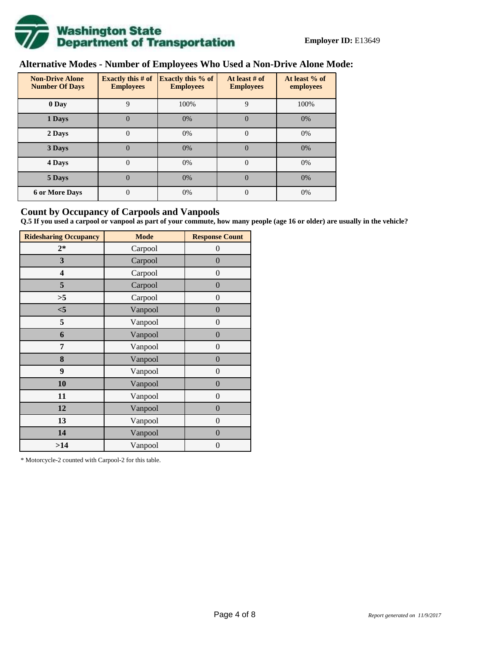

# **Alternative Modes - Number of Employees Who Used a Non-Drive Alone Mode:**

| <b>Non-Drive Alone</b><br><b>Number Of Days</b> | <b>Exactly this # of</b><br><b>Employees</b> | <b>Exactly this % of</b><br><b>Employees</b> | At least # of<br><b>Employees</b> | At least % of<br>employees |
|-------------------------------------------------|----------------------------------------------|----------------------------------------------|-----------------------------------|----------------------------|
| 0 Day                                           | 9                                            | 100%                                         | 9                                 | 100%                       |
| 1 Days                                          | $\overline{0}$                               | 0%                                           | $\Omega$                          | 0%                         |
| 2 Days                                          | 0                                            | 0%                                           | $\Omega$                          | 0%                         |
| 3 Days                                          | $\theta$                                     | 0%                                           | $\Omega$                          | 0%                         |
| 4 Days                                          | $\theta$                                     | 0%                                           | $\Omega$                          | 0%                         |
| 5 Days                                          | 0                                            | 0%                                           | $\Omega$                          | 0%                         |
| <b>6 or More Days</b>                           | 0                                            | 0%                                           | $\Omega$                          | 0%                         |

## **Count by Occupancy of Carpools and Vanpools**

**Q.5 If you used a carpool or vanpool as part of your commute, how many people (age 16 or older) are usually in the vehicle?**

| <b>Ridesharing Occupancy</b> | <b>Mode</b> | <b>Response Count</b> |
|------------------------------|-------------|-----------------------|
| $2*$                         | Carpool     | 0                     |
| 3                            | Carpool     | $\boldsymbol{0}$      |
| 4                            | Carpool     | $\boldsymbol{0}$      |
| 5                            | Carpool     | $\boldsymbol{0}$      |
| >5                           | Carpool     | $\overline{0}$        |
| $<$ 5                        | Vanpool     | $\overline{0}$        |
| 5                            | Vanpool     | $\boldsymbol{0}$      |
| 6                            | Vanpool     | $\boldsymbol{0}$      |
| 7                            | Vanpool     | $\boldsymbol{0}$      |
| 8                            | Vanpool     | $\boldsymbol{0}$      |
| 9                            | Vanpool     | $\boldsymbol{0}$      |
| 10                           | Vanpool     | $\overline{0}$        |
| 11                           | Vanpool     | $\overline{0}$        |
| 12                           | Vanpool     | $\boldsymbol{0}$      |
| 13                           | Vanpool     | $\boldsymbol{0}$      |
| 14                           | Vanpool     | $\overline{0}$        |
| >14                          | Vanpool     | $\boldsymbol{0}$      |

\* Motorcycle-2 counted with Carpool-2 for this table.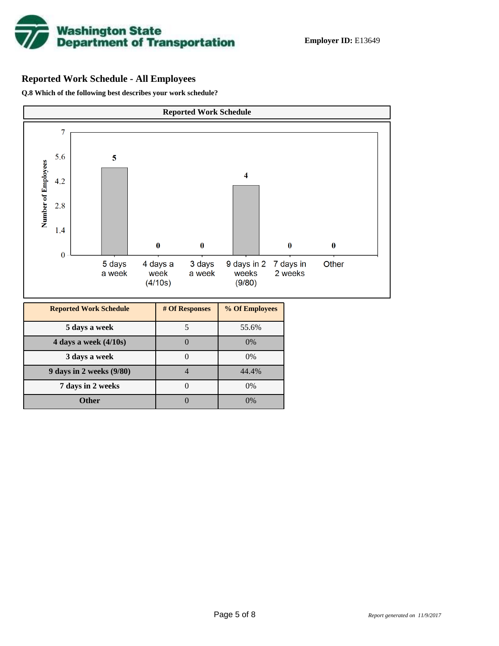

# **Reported Work Schedule - All Employees**

**Q.8 Which of the following best describes your work schedule?**

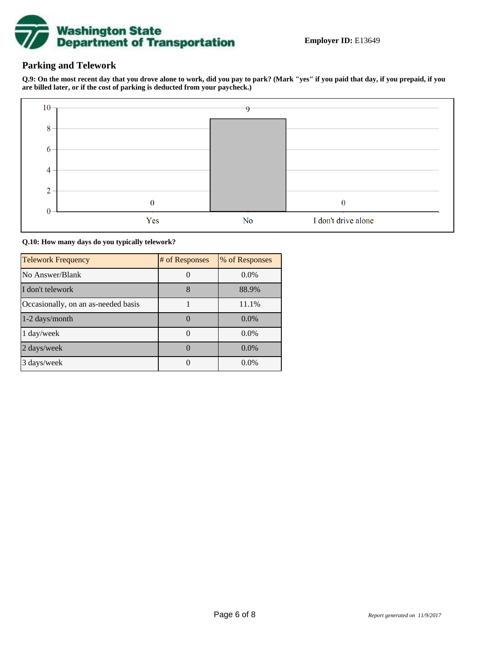

## **Parking and Telework**

**Q.9: On the most recent day that you drove alone to work, did you pay to park? (Mark "yes" if you paid that day, if you prepaid, if you are billed later, or if the cost of parking is deducted from your paycheck.)**



**Q.10: How many days do you typically telework?**

| <b>Telework Frequency</b>           | # of Responses | % of Responses |
|-------------------------------------|----------------|----------------|
| No Answer/Blank                     |                | $0.0\%$        |
| I don't telework                    | 8              | 88.9%          |
| Occasionally, on an as-needed basis |                | 11.1%          |
| 1-2 days/month                      |                | $0.0\%$        |
| 1 day/week                          |                | $0.0\%$        |
| 2 days/week                         |                | 0.0%           |
| 3 days/week                         |                | $0.0\%$        |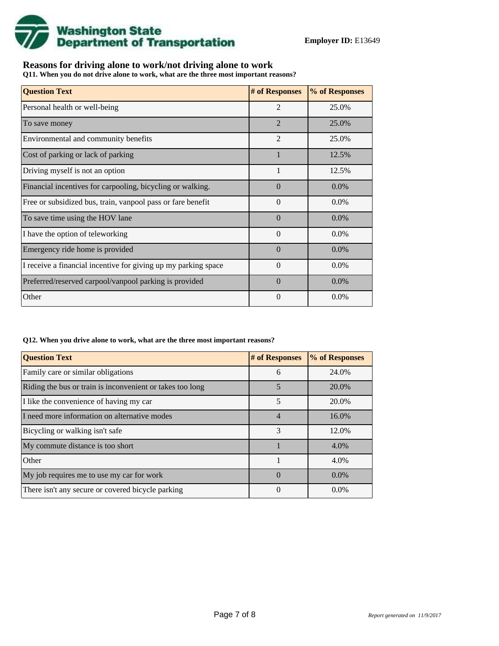

# **Reasons for driving alone to work/not driving alone to work**

**Q11. When you do not drive alone to work, what are the three most important reasons?**

| <b>Question Text</b>                                           | # of Responses | % of Responses |
|----------------------------------------------------------------|----------------|----------------|
| Personal health or well-being                                  | $\overline{2}$ | 25.0%          |
| To save money                                                  | $\mathcal{L}$  | 25.0%          |
| Environmental and community benefits                           | $\mathfrak{D}$ | 25.0%          |
| Cost of parking or lack of parking                             |                | 12.5%          |
| Driving myself is not an option                                |                | 12.5%          |
| Financial incentives for carpooling, bicycling or walking.     | $\Omega$       | $0.0\%$        |
| Free or subsidized bus, train, vanpool pass or fare benefit    | $\Omega$       | $0.0\%$        |
| To save time using the HOV lane                                | $\Omega$       | $0.0\%$        |
| I have the option of teleworking                               | $\Omega$       | $0.0\%$        |
| Emergency ride home is provided                                | $\Omega$       | $0.0\%$        |
| I receive a financial incentive for giving up my parking space | $\theta$       | $0.0\%$        |
| Preferred/reserved carpool/vanpool parking is provided         | $\Omega$       | $0.0\%$        |
| Other                                                          | $\Omega$       | $0.0\%$        |

#### **Q12. When you drive alone to work, what are the three most important reasons?**

| <b>Question Text</b>                                      | # of Responses | % of Responses |
|-----------------------------------------------------------|----------------|----------------|
| Family care or similar obligations                        | 6              | 24.0%          |
| Riding the bus or train is inconvenient or takes too long | 5              | 20.0%          |
| I like the convenience of having my car                   | 5              | 20.0%          |
| I need more information on alternative modes              | $\overline{4}$ | 16.0%          |
| Bicycling or walking isn't safe                           | 3              | 12.0%          |
| My commute distance is too short                          |                | 4.0%           |
| Other                                                     |                | 4.0%           |
| My job requires me to use my car for work                 | $\Omega$       | $0.0\%$        |
| There isn't any secure or covered bicycle parking         | $\Omega$       | $0.0\%$        |